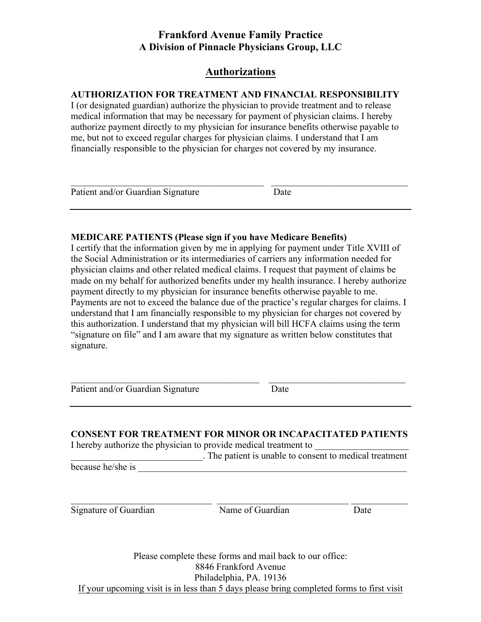# **Authorizations**

### **AUTHORIZATION FOR TREATMENT AND FINANCIAL RESPONSIBILITY**

I (or designated guardian) authorize the physician to provide treatment and to release medical information that may be necessary for payment of physician claims. I hereby authorize payment directly to my physician for insurance benefits otherwise payable to me, but not to exceed regular charges for physician claims. I understand that I am financially responsible to the physician for charges not covered by my insurance.

| Patient and/or Guardian Signature | Date |  |
|-----------------------------------|------|--|

### **MEDICARE PATIENTS (Please sign if you have Medicare Benefits)**

I certify that the information given by me in applying for payment under Title XVIII of the Social Administration or its intermediaries of carriers any information needed for physician claims and other related medical claims. I request that payment of claims be made on my behalf for authorized benefits under my health insurance. I hereby authorize payment directly to my physician for insurance benefits otherwise payable to me. Payments are not to exceed the balance due of the practice's regular charges for claims. I understand that I am financially responsible to my physician for charges not covered by this authorization. I understand that my physician will bill HCFA claims using the term "signature on file" and I am aware that my signature as written below constitutes that signature.

Patient and/or Guardian Signature Date

**CONSENT FOR TREATMENT FOR MINOR OR INCAPACITATED PATIENTS** I hereby authorize the physician to provide medical treatment to

 $\_$  , and the set of the set of the set of the set of the set of the set of the set of the set of the set of the set of the set of the set of the set of the set of the set of the set of the set of the set of the set of th

\_\_\_\_\_\_\_\_\_\_\_\_\_\_\_\_\_\_\_\_\_\_\_\_\_\_\_\_. The patient is unable to consent to medical treatment because he/she is

Signature of Guardian Name of Guardian Date

 $\mathcal{L}_\text{max} = \frac{1}{2} \sum_{i=1}^n \mathcal{L}_\text{max}(\mathbf{x}_i - \mathbf{y}_i)$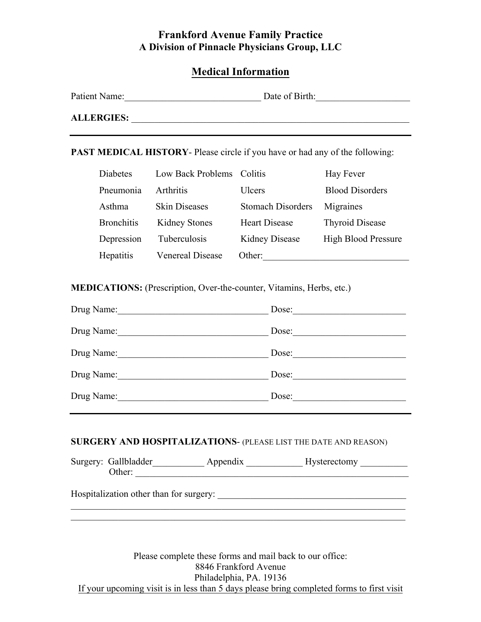## **Medical Information**

| Patient Name:     | Date of Birth: |
|-------------------|----------------|
| <b>ALLERGIES:</b> |                |

**PAST MEDICAL HISTORY**- Please circle if you have or had any of the following:

| Diabetes          | Low Back Problems Colitis |                          | Hay Fever                  |
|-------------------|---------------------------|--------------------------|----------------------------|
| Pneumonia         | Arthritis                 | Ulcers                   | <b>Blood Disorders</b>     |
| Asthma            | <b>Skin Diseases</b>      | <b>Stomach Disorders</b> | Migraines                  |
| <b>Bronchitis</b> | <b>Kidney Stones</b>      | <b>Heart Disease</b>     | <b>Thyroid Disease</b>     |
| Depression        | Tuberculosis              | <b>Kidney Disease</b>    | <b>High Blood Pressure</b> |
| Hepatitis         | <b>Venereal Disease</b>   | Other:                   |                            |

**MEDICATIONS:** (Prescription, Over-the-counter, Vitamins, Herbs, etc.)

| Drug Name: | Dose: |
|------------|-------|
| Drug Name: | Dose: |
| Drug Name: | Dose: |
| Drug Name: | Dose: |
| Drug Name: | Dose: |

#### **SURGERY AND HOSPITALIZATIONS**- (PLEASE LIST THE DATE AND REASON)

| Surgery: Gallbladder | Appendix | <b>Hysterectomy</b> |  |
|----------------------|----------|---------------------|--|
| Other <sup>1</sup>   |          |                     |  |

 $\mathcal{L}_\text{max} = \mathcal{L}_\text{max} = \mathcal{L}_\text{max} = \mathcal{L}_\text{max} = \mathcal{L}_\text{max} = \mathcal{L}_\text{max} = \mathcal{L}_\text{max} = \mathcal{L}_\text{max} = \mathcal{L}_\text{max} = \mathcal{L}_\text{max} = \mathcal{L}_\text{max} = \mathcal{L}_\text{max} = \mathcal{L}_\text{max} = \mathcal{L}_\text{max} = \mathcal{L}_\text{max} = \mathcal{L}_\text{max} = \mathcal{L}_\text{max} = \mathcal{L}_\text{max} = \mathcal{$ 

 $\mathcal{L}_\mathcal{L} = \mathcal{L}_\mathcal{L} = \mathcal{L}_\mathcal{L} = \mathcal{L}_\mathcal{L} = \mathcal{L}_\mathcal{L} = \mathcal{L}_\mathcal{L} = \mathcal{L}_\mathcal{L} = \mathcal{L}_\mathcal{L} = \mathcal{L}_\mathcal{L} = \mathcal{L}_\mathcal{L} = \mathcal{L}_\mathcal{L} = \mathcal{L}_\mathcal{L} = \mathcal{L}_\mathcal{L} = \mathcal{L}_\mathcal{L} = \mathcal{L}_\mathcal{L} = \mathcal{L}_\mathcal{L} = \mathcal{L}_\mathcal{L}$ 

Hospitalization other than for surgery: \_\_\_\_\_\_\_\_\_\_\_\_\_\_\_\_\_\_\_\_\_\_\_\_\_\_\_\_\_\_\_\_\_\_\_\_\_\_\_\_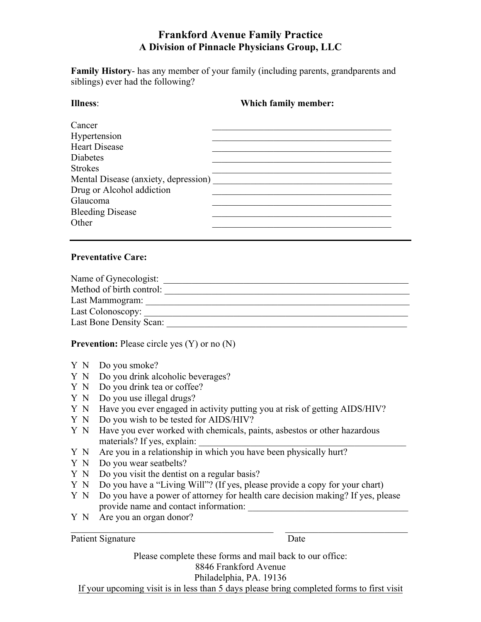**Family History**- has any member of your family (including parents, grandparents and siblings) ever had the following?

| Illness:                             | Which family member: |  |  |
|--------------------------------------|----------------------|--|--|
| Cancer                               |                      |  |  |
| Hypertension                         |                      |  |  |
| <b>Heart Disease</b>                 |                      |  |  |
| <b>Diabetes</b>                      |                      |  |  |
| <b>Strokes</b>                       |                      |  |  |
| Mental Disease (anxiety, depression) |                      |  |  |
| Drug or Alcohol addiction            |                      |  |  |
| Glaucoma                             |                      |  |  |
| <b>Bleeding Disease</b>              |                      |  |  |
| Other                                |                      |  |  |

#### **Preventative Care:**

| Name of Gynecologist:    |  |
|--------------------------|--|
| Method of birth control: |  |
| Last Mammogram:          |  |
| Last Colonoscopy:        |  |
| Last Bone Density Scan:  |  |

**Prevention:** Please circle yes (Y) or no (N)

- Y N Do you smoke?
- Y N Do you drink alcoholic beverages?
- Y N Do you drink tea or coffee?
- Y N Do you use illegal drugs?
- Y N Have you ever engaged in activity putting you at risk of getting AIDS/HIV?
- Y N Do you wish to be tested for AIDS/HIV?
- Y N Have you ever worked with chemicals, paints, asbestos or other hazardous materials? If yes, explain:
- Y N Are you in a relationship in which you have been physically hurt?
- Y N Do you wear seatbelts?
- Y N Do you visit the dentist on a regular basis?
- Y N Do you have a "Living Will"? (If yes, please provide a copy for your chart)
- Y N Do you have a power of attorney for health care decision making? If yes, please provide name and contact information:

 $\mathcal{L}_\text{max} = \mathcal{L}_\text{max} = \mathcal{L}_\text{max} = \mathcal{L}_\text{max} = \mathcal{L}_\text{max} = \mathcal{L}_\text{max} = \mathcal{L}_\text{max} = \mathcal{L}_\text{max} = \mathcal{L}_\text{max} = \mathcal{L}_\text{max} = \mathcal{L}_\text{max} = \mathcal{L}_\text{max} = \mathcal{L}_\text{max} = \mathcal{L}_\text{max} = \mathcal{L}_\text{max} = \mathcal{L}_\text{max} = \mathcal{L}_\text{max} = \mathcal{L}_\text{max} = \mathcal{$ 

Y N Are you an organ donor?

Patient Signature Date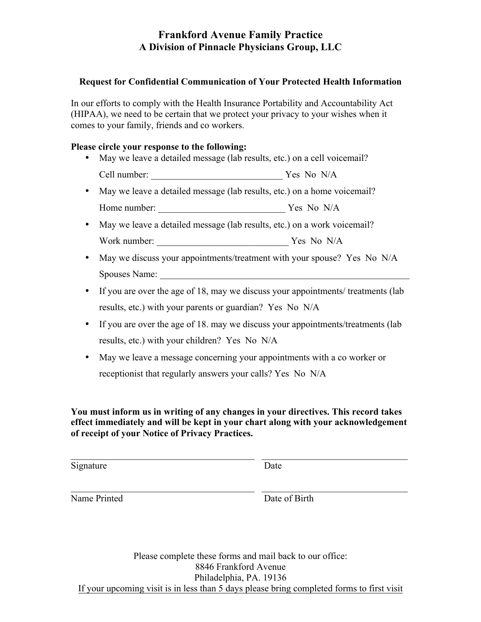### **Request for Confidential Communication of Your Protected Health Information**

In our efforts to comply with the Health Insurance Portability and Accountability Act (HIPAA), we need to be certain that we protect your privacy to your wishes when it comes to your family, friends and co workers.

### **Please circle your response to the following:**

- May we leave a detailed message (lab results, etc.) on a cell voicemail? Cell number:  $\gamma$  and  $\gamma$  Yes No N/A
- May we leave a detailed message (lab results, etc.) on a home voicemail? Home number: \_\_\_\_\_\_\_\_\_\_\_\_\_\_\_\_\_\_\_\_\_\_\_\_\_\_\_ Yes No N/A
- May we leave a detailed message (lab results, etc.) on a work voicemail? Work number: \_\_\_\_\_\_\_\_\_\_\_\_\_\_\_\_\_\_\_\_\_\_\_\_\_\_\_\_ Yes No N/A
- May we discuss your appointments/treatment with your spouse? Yes No N/A Spouses Name:
- If you are over the age of 18, may we discuss your appointments/ treatments (lab results, etc.) with your parents or guardian? Yes No N/A
- If you are over the age of 18, may we discuss your appointments/treatments (lab results, etc.) with your children? Yes No N/A
- May we leave a message concerning your appointments with a co worker or receptionist that regularly answers your calls? Yes No N/A

**You must inform us in writing of any changes in your directives. This record takes effect immediately and will be kept in your chart along with your acknowledgement of receipt of your Notice of Privacy Practices.** 

 $\_$  , and the set of the set of the set of the set of the set of the set of the set of the set of the set of the set of the set of the set of the set of the set of the set of the set of the set of the set of the set of th

Signature Date

Name Printed Date of Birth

 $\_$  , and the set of the set of the set of the set of the set of the set of the set of the set of the set of the set of the set of the set of the set of the set of the set of the set of the set of the set of the set of th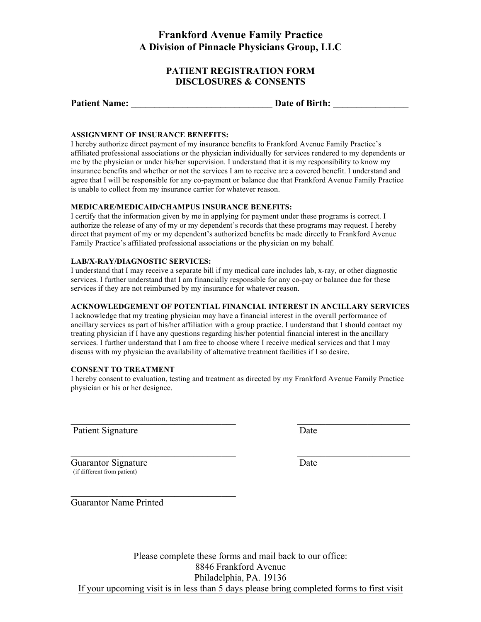### **PATIENT REGISTRATION FORM DISCLOSURES & CONSENTS**

| <b>Patient Name:</b> | Date of Birth: |  |
|----------------------|----------------|--|
|                      |                |  |

#### **ASSIGNMENT OF INSURANCE BENEFITS:**

I hereby authorize direct payment of my insurance benefits to Frankford Avenue Family Practice's affiliated professional associations or the physician individually for services rendered to my dependents or me by the physician or under his/her supervision. I understand that it is my responsibility to know my insurance benefits and whether or not the services I am to receive are a covered benefit. I understand and agree that I will be responsible for any co-payment or balance due that Frankford Avenue Family Practice is unable to collect from my insurance carrier for whatever reason.

#### **MEDICARE/MEDICAID/CHAMPUS INSURANCE BENEFITS:**

I certify that the information given by me in applying for payment under these programs is correct. I authorize the release of any of my or my dependent's records that these programs may request. I hereby direct that payment of my or my dependent's authorized benefits be made directly to Frankford Avenue Family Practice's affiliated professional associations or the physician on my behalf.

#### **LAB/X-RAY/DIAGNOSTIC SERVICES:**

I understand that I may receive a separate bill if my medical care includes lab, x-ray, or other diagnostic services. I further understand that I am financially responsible for any co-pay or balance due for these services if they are not reimbursed by my insurance for whatever reason.

#### **ACKNOWLEDGEMENT OF POTENTIAL FINANCIAL INTEREST IN ANCILLARY SERVICES**

I acknowledge that my treating physician may have a financial interest in the overall performance of ancillary services as part of his/her affiliation with a group practice. I understand that I should contact my treating physician if I have any questions regarding his/her potential financial interest in the ancillary services. I further understand that I am free to choose where I receive medical services and that I may discuss with my physician the availability of alternative treatment facilities if I so desire.

#### **CONSENT TO TREATMENT**

I hereby consent to evaluation, testing and treatment as directed by my Frankford Avenue Family Practice physician or his or her designee.

 $\mathcal{L}_\text{max}$  , and the contribution of the contribution of the contribution of the contribution of the contribution of the contribution of the contribution of the contribution of the contribution of the contribution of t

 $\mathcal{L}_\text{max}$  , and the contribution of the contribution of the contribution of the contribution of the contribution of the contribution of the contribution of the contribution of the contribution of the contribution of t

Patient Signature Date

Guarantor Signature Date (if different from patient)

Guarantor Name Printed

 $\mathcal{L}_\text{max}$  , where  $\mathcal{L}_\text{max}$  and  $\mathcal{L}_\text{max}$  and  $\mathcal{L}_\text{max}$